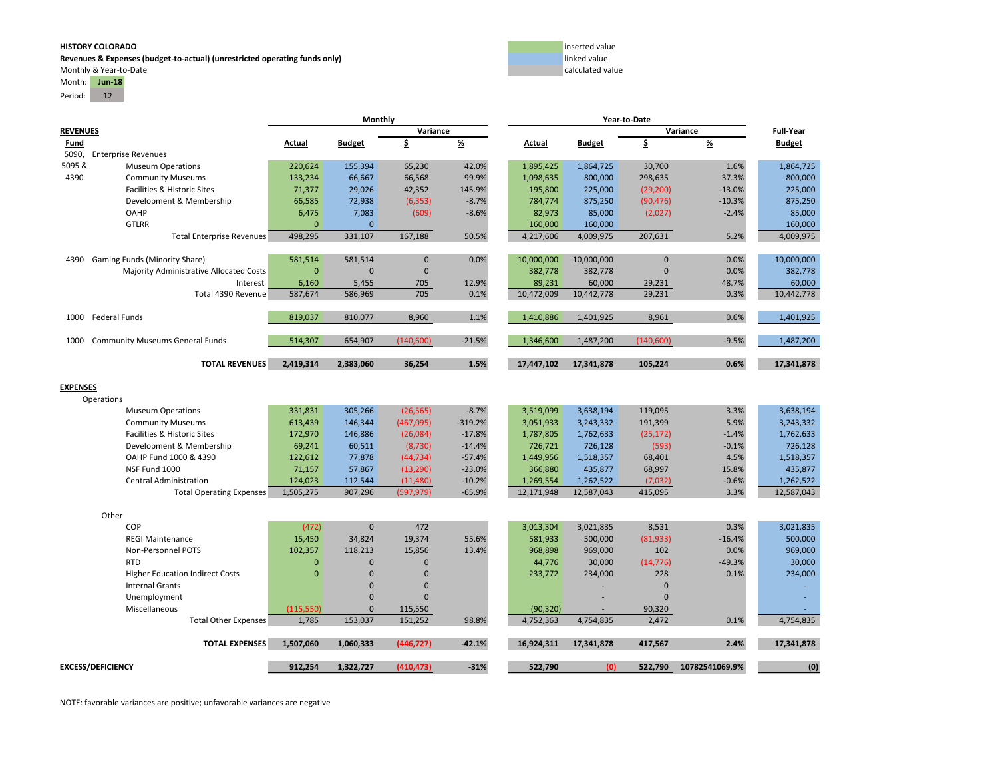**Revenues & Expenses (budget-to-actual) (unrestricted operating funds only)** linked value Monthly & Year‐to‐Date calculated value calculated value calculated value calculated value calculated value calculated value

# Month: **Jun‐18**

Period: 12



|                 |                                         | Monthly      |               |                |               |            |               |                |                |                  |
|-----------------|-----------------------------------------|--------------|---------------|----------------|---------------|------------|---------------|----------------|----------------|------------------|
| <b>REVENUES</b> |                                         |              |               | Variance       |               |            |               |                | Variance       | <b>Full-Year</b> |
| Fund            |                                         | Actual       | <b>Budget</b> | \$             | $\frac{9}{6}$ | Actual     | <b>Budget</b> | \$             | $\frac{9}{6}$  | <b>Budget</b>    |
| 5090,           | <b>Enterprise Revenues</b>              |              |               |                |               |            |               |                |                |                  |
| 5095 &          | <b>Museum Operations</b>                | 220,624      | 155,394       | 65,230         | 42.0%         | 1,895,425  | 1,864,725     | 30,700         | 1.6%           | 1,864,725        |
| 4390            | <b>Community Museums</b>                | 133,234      | 66,667        | 66,568         | 99.9%         | 1,098,635  | 800,000       | 298,635        | 37.3%          | 800,000          |
|                 | Facilities & Historic Sites             | 71,377       | 29,026        | 42,352         | 145.9%        | 195,800    | 225,000       | (29, 200)      | $-13.0%$       | 225,000          |
|                 | Development & Membership                | 66,585       | 72,938        | (6, 353)       | $-8.7%$       | 784,774    | 875,250       | (90, 476)      | $-10.3%$       | 875,250          |
|                 | OAHP                                    | 6,475        | 7,083         | (609)          | $-8.6%$       | 82,973     | 85,000        | (2,027)        | $-2.4%$        | 85,000           |
|                 | <b>GTLRR</b>                            | $\mathbf{0}$ | $\mathbf{0}$  |                |               | 160,000    | 160,000       |                |                | 160,000          |
|                 | <b>Total Enterprise Revenues</b>        | 498,295      | 331,107       | 167,188        | 50.5%         | 4,217,606  | 4,009,975     | 207,631        | 5.2%           | 4,009,975        |
| 4390            | Gaming Funds (Minority Share)           | 581,514      | 581,514       | $\overline{0}$ | 0.0%          | 10,000,000 | 10,000,000    | $\overline{0}$ | 0.0%           | 10,000,000       |
|                 | Majority Administrative Allocated Costs | $\mathbf{0}$ | $\mathbf{0}$  | $\pmb{0}$      |               | 382,778    | 382,778       | $\Omega$       | 0.0%           | 382,778          |
|                 | Interest                                | 6,160        | 5,455         | 705            | 12.9%         | 89,231     | 60,000        | 29,231         | 48.7%          | 60,000           |
|                 | Total 4390 Revenue                      | 587,674      | 586,969       | 705            | 0.1%          | 10,472,009 | 10,442,778    | 29,231         | 0.3%           | 10,442,778       |
| 1000            | <b>Federal Funds</b>                    | 819,037      | 810,077       | 8,960          | 1.1%          | 1,410,886  | 1,401,925     | 8,961          | 0.6%           | 1,401,925        |
|                 |                                         |              |               |                |               |            |               |                |                |                  |
| 1000            | <b>Community Museums General Funds</b>  | 514,307      | 654,907       | (140, 600)     | $-21.5%$      | 1,346,600  | 1,487,200     | (140, 600)     | $-9.5%$        | 1,487,200        |
|                 | <b>TOTAL REVENUES</b>                   | 2,419,314    | 2,383,060     | 36,254         | 1.5%          | 17,447,102 | 17,341,878    | 105,224        | 0.6%           | 17,341,878       |
|                 |                                         |              |               |                |               |            |               |                |                |                  |
| <b>EXPENSES</b> |                                         |              |               |                |               |            |               |                |                |                  |
|                 | Operations                              |              |               |                |               |            |               |                |                |                  |
|                 | <b>Museum Operations</b>                | 331,831      | 305,266       | (26, 565)      | $-8.7%$       | 3,519,099  | 3,638,194     | 119,095        | 3.3%           | 3,638,194        |
|                 | <b>Community Museums</b>                | 613,439      | 146,344       | (467,095)      | $-319.2%$     | 3,051,933  | 3,243,332     | 191,399        | 5.9%           | 3,243,332        |
|                 | Facilities & Historic Sites             | 172,970      | 146,886       | (26,084)       | $-17.8%$      | 1,787,805  | 1,762,633     | (25, 172)      | $-1.4%$        | 1,762,633        |
|                 | Development & Membership                | 69,241       | 60,511        | (8, 730)       | $-14.4%$      | 726,721    | 726,128       | (593)          | $-0.1%$        | 726,128          |
|                 | OAHP Fund 1000 & 4390                   | 122,612      | 77,878        | (44, 734)      | $-57.4%$      | 1,449,956  | 1,518,357     | 68,401         | 4.5%           | 1,518,357        |
|                 | NSF Fund 1000                           | 71,157       | 57,867        | (13, 290)      | $-23.0%$      | 366,880    | 435,877       | 68,997         | 15.8%          | 435,877          |
|                 | Central Administration                  | 124,023      | 112,544       | (11, 480)      | $-10.2%$      | 1,269,554  | 1,262,522     | (7,032)        | $-0.6%$        | 1,262,522        |
|                 | <b>Total Operating Expenses</b>         | 1,505,275    | 907,296       | (597, 979)     | $-65.9%$      | 12,171,948 | 12,587,043    | 415.095        | 3.3%           | 12,587,043       |
|                 | Other                                   |              |               |                |               |            |               |                |                |                  |
|                 | COP                                     | (472)        | $\mathbf{0}$  | 472            |               | 3,013,304  | 3,021,835     | 8,531          | 0.3%           | 3,021,835        |
|                 | <b>REGI Maintenance</b>                 | 15,450       | 34,824        | 19,374         | 55.6%         | 581,933    | 500,000       | (81,933)       | $-16.4%$       | 500,000          |
|                 | Non-Personnel POTS                      | 102,357      | 118,213       | 15,856         | 13.4%         | 968,898    | 969,000       | 102            | 0.0%           | 969,000          |
|                 | <b>RTD</b>                              | $\mathbf{0}$ | $\mathbf{0}$  | $\overline{0}$ |               | 44,776     | 30,000        | (14, 776)      | $-49.3%$       | 30,000           |
|                 | <b>Higher Education Indirect Costs</b>  | $\mathbf{0}$ | $\mathbf{0}$  | $\Omega$       |               | 233,772    | 234,000       | 228            | 0.1%           | 234,000          |
|                 | <b>Internal Grants</b>                  |              | $\mathbf{0}$  | $\mathbf{0}$   |               |            |               | $\Omega$       |                |                  |
|                 | Unemployment                            |              | $\mathbf{0}$  | $\Omega$       |               |            |               | $\Omega$       |                |                  |
|                 | Miscellaneous                           | (115, 550)   | $\mathbf{0}$  | 115,550        |               | (90, 320)  |               | 90,320         |                |                  |
|                 | Total Other Expenses                    | 1,785        | 153,037       | 151,252        | 98.8%         | 4,752,363  | 4,754,835     | 2,472          | 0.1%           | 4,754,835        |
|                 | <b>TOTAL EXPENSES</b>                   | 1,507,060    | 1,060,333     | (446, 727)     | $-42.1%$      | 16,924,311 | 17,341,878    | 417,567        | 2.4%           | 17,341,878       |
|                 | <b>EXCESS/DEFICIENCY</b>                | 912,254      | 1,322,727     | (410, 473)     | $-31%$        | 522,790    | (0)           | 522,790        | 10782541069.9% | (0)              |
|                 |                                         |              |               |                |               |            |               |                |                |                  |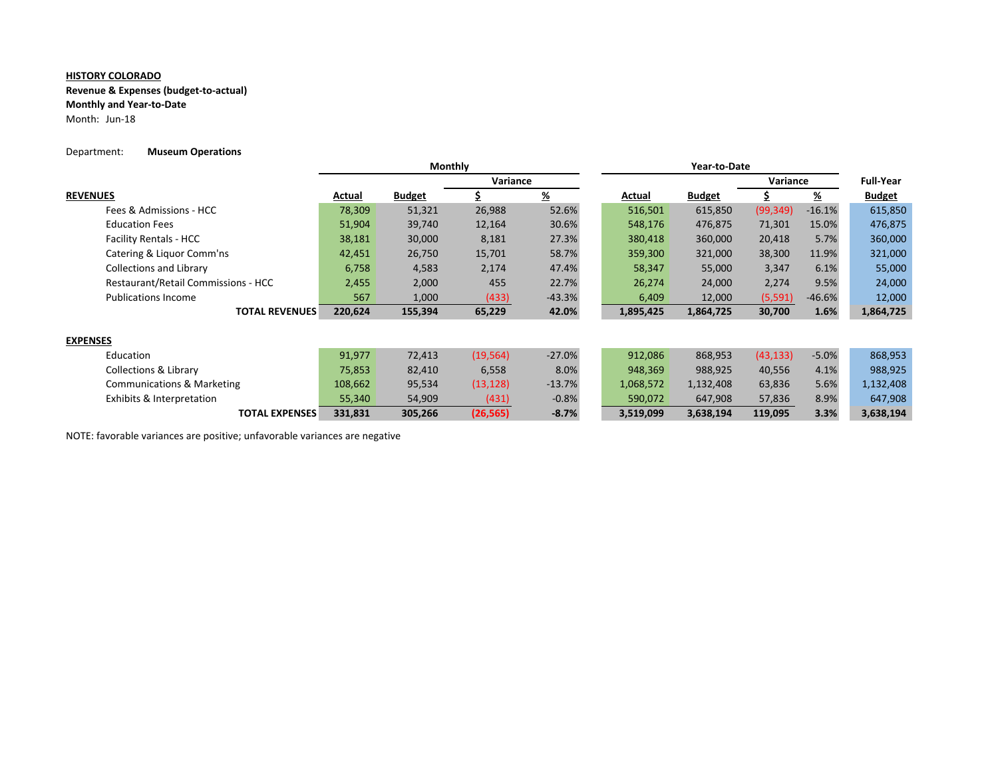**Revenue & Expenses (budget‐to‐actual)**

**Monthly and Year‐to‐Date**

Month: Jun‐18

### Department: **Museum Operations**

|                                       | Monthly |               |           |               |  |           |               |           |          |                  |
|---------------------------------------|---------|---------------|-----------|---------------|--|-----------|---------------|-----------|----------|------------------|
|                                       |         |               | Variance  |               |  |           |               | Variance  |          | <b>Full-Year</b> |
| <b>REVENUES</b>                       | Actual  | <b>Budget</b> |           | $\frac{9}{6}$ |  | Actual    | <b>Budget</b> |           | <u>%</u> | <b>Budget</b>    |
| Fees & Admissions - HCC               | 78,309  | 51,321        | 26,988    | 52.6%         |  | 516,501   | 615,850       | (99, 349) | $-16.1%$ | 615,850          |
| <b>Education Fees</b>                 | 51,904  | 39,740        | 12,164    | 30.6%         |  | 548,176   | 476,875       | 71,301    | 15.0%    | 476,875          |
| <b>Facility Rentals - HCC</b>         | 38,181  | 30,000        | 8,181     | 27.3%         |  | 380,418   | 360,000       | 20,418    | 5.7%     | 360,000          |
| Catering & Liquor Comm'ns             | 42,451  | 26,750        | 15,701    | 58.7%         |  | 359,300   | 321,000       | 38,300    | 11.9%    | 321,000          |
| <b>Collections and Library</b>        | 6,758   | 4,583         | 2,174     | 47.4%         |  | 58,347    | 55,000        | 3,347     | 6.1%     | 55,000           |
| Restaurant/Retail Commissions - HCC   | 2,455   | 2,000         | 455       | 22.7%         |  | 26,274    | 24,000        | 2,274     | 9.5%     | 24,000           |
| <b>Publications Income</b>            | 567     | 1,000         | (433)     | $-43.3%$      |  | 6,409     | 12,000        | (5, 591)  | $-46.6%$ | 12,000           |
| <b>TOTAL REVENUES</b>                 | 220,624 | 155,394       | 65,229    | 42.0%         |  | 1,895,425 | 1,864,725     | 30,700    | 1.6%     | 1,864,725        |
| <b>EXPENSES</b>                       |         |               |           |               |  |           |               |           |          |                  |
| Education                             | 91,977  | 72,413        | (19, 564) | $-27.0%$      |  | 912,086   | 868,953       | (43, 133) | $-5.0%$  | 868,953          |
| <b>Collections &amp; Library</b>      | 75,853  | 82,410        | 6,558     | 8.0%          |  | 948,369   | 988,925       | 40,556    | 4.1%     | 988,925          |
| <b>Communications &amp; Marketing</b> | 108,662 | 95,534        | (13, 128) | $-13.7%$      |  | 1,068,572 | 1,132,408     | 63,836    | 5.6%     | 1,132,408        |
| Exhibits & Interpretation             | 55,340  | 54,909        | (431)     | $-0.8%$       |  | 590,072   | 647,908       | 57,836    | 8.9%     | 647,908          |
| <b>TOTAL EXPENSES</b>                 | 331,831 | 305,266       | (26, 565) | $-8.7%$       |  | 3,519,099 | 3,638,194     | 119,095   | 3.3%     | 3,638,194        |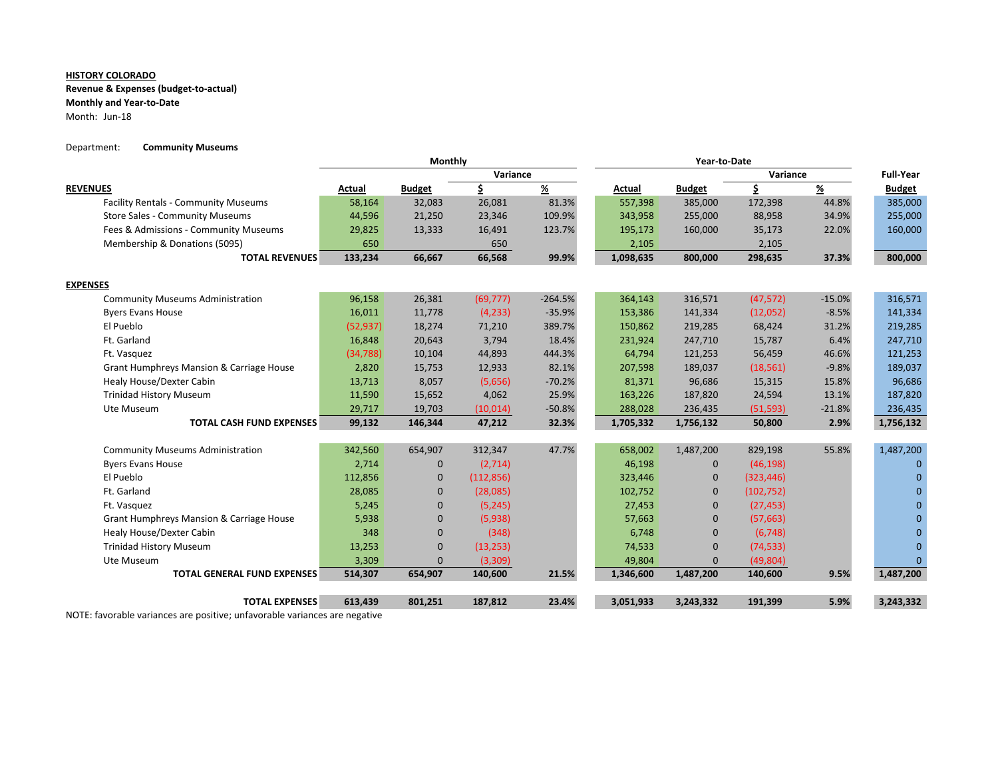## **Revenue & Expenses (budget‐to‐actual)**

**Monthly and Year‐to‐Date**

Month: Jun‐18

## Department: **Community Museums**

|                                             | Monthly   |               |            |                |           |               |            |               |                  |
|---------------------------------------------|-----------|---------------|------------|----------------|-----------|---------------|------------|---------------|------------------|
|                                             |           |               | Variance   |                |           |               | Variance   |               | <b>Full-Year</b> |
| <b>REVENUES</b>                             | Actual    | <b>Budget</b> | \$         | $\frac{96}{2}$ | Actual    | <b>Budget</b> | \$         | $\frac{9}{6}$ | <b>Budget</b>    |
| <b>Facility Rentals - Community Museums</b> | 58,164    | 32,083        | 26,081     | 81.3%          | 557,398   | 385,000       | 172,398    | 44.8%         | 385,000          |
| <b>Store Sales - Community Museums</b>      | 44,596    | 21,250        | 23,346     | 109.9%         | 343,958   | 255,000       | 88,958     | 34.9%         | 255,000          |
| Fees & Admissions - Community Museums       | 29,825    | 13,333        | 16,491     | 123.7%         | 195,173   | 160,000       | 35,173     | 22.0%         | 160,000          |
| Membership & Donations (5095)               | 650       |               | 650        |                | 2,105     |               | 2,105      |               |                  |
| <b>TOTAL REVENUES</b>                       | 133,234   | 66,667        | 66,568     | 99.9%          | 1,098,635 | 800,000       | 298,635    | 37.3%         | 800,000          |
| <b>EXPENSES</b>                             |           |               |            |                |           |               |            |               |                  |
| <b>Community Museums Administration</b>     | 96,158    | 26,381        | (69, 777)  | $-264.5%$      | 364,143   | 316,571       | (47, 572)  | $-15.0%$      | 316,571          |
| <b>Byers Evans House</b>                    | 16,011    | 11,778        | (4, 233)   | $-35.9%$       | 153,386   | 141,334       | (12,052)   | $-8.5%$       | 141,334          |
| El Pueblo                                   | (52, 937) | 18,274        | 71,210     | 389.7%         | 150,862   | 219,285       | 68,424     | 31.2%         | 219,285          |
| Ft. Garland                                 | 16,848    | 20,643        | 3,794      | 18.4%          | 231,924   | 247,710       | 15,787     | 6.4%          | 247,710          |
| Ft. Vasquez                                 | (34, 788) | 10,104        | 44,893     | 444.3%         | 64,794    | 121,253       | 56,459     | 46.6%         | 121,253          |
| Grant Humphreys Mansion & Carriage House    | 2,820     | 15,753        | 12,933     | 82.1%          | 207,598   | 189,037       | (18, 561)  | $-9.8%$       | 189,037          |
| Healy House/Dexter Cabin                    | 13,713    | 8,057         | (5,656)    | $-70.2%$       | 81,371    | 96,686        | 15,315     | 15.8%         | 96,686           |
| <b>Trinidad History Museum</b>              | 11,590    | 15,652        | 4,062      | 25.9%          | 163,226   | 187,820       | 24,594     | 13.1%         | 187,820          |
| Ute Museum                                  | 29,717    | 19,703        | (10, 014)  | $-50.8%$       | 288,028   | 236,435       | (51, 593)  | $-21.8%$      | 236,435          |
| <b>TOTAL CASH FUND EXPENSES</b>             | 99,132    | 146,344       | 47,212     | 32.3%          | 1,705,332 | 1,756,132     | 50,800     | 2.9%          | 1,756,132        |
|                                             |           |               |            |                |           |               |            |               |                  |
| <b>Community Museums Administration</b>     | 342,560   | 654,907       | 312,347    | 47.7%          | 658,002   | 1,487,200     | 829,198    | 55.8%         | 1,487,200        |
| <b>Byers Evans House</b>                    | 2,714     | $\mathbf{0}$  | (2,714)    |                | 46,198    | $\mathbf 0$   | (46, 198)  |               | $\Omega$         |
| El Pueblo                                   | 112,856   | 0             | (112, 856) |                | 323,446   | 0             | (323, 446) |               | $\Omega$         |
| Ft. Garland                                 | 28,085    | $\Omega$      | (28,085)   |                | 102,752   | $\mathbf{0}$  | (102, 752) |               | $\Omega$         |
| Ft. Vasquez                                 | 5,245     | $\mathbf{0}$  | (5, 245)   |                | 27,453    | $\mathbf{0}$  | (27, 453)  |               | $\Omega$         |
| Grant Humphreys Mansion & Carriage House    | 5,938     | $\mathbf{0}$  | (5,938)    |                | 57,663    | 0             | (57, 663)  |               | $\Omega$         |
| <b>Healy House/Dexter Cabin</b>             | 348       | 0             | (348)      |                | 6,748     | 0             | (6, 748)   |               | $\Omega$         |
| <b>Trinidad History Museum</b>              | 13,253    | $\mathbf{0}$  | (13, 253)  |                | 74,533    | $\mathbf{0}$  | (74, 533)  |               | $\Omega$         |
| Ute Museum                                  | 3,309     | $\mathbf{0}$  | (3,309)    |                | 49,804    | $\mathbf{0}$  | (49,804)   |               | $\mathbf{0}$     |
| <b>TOTAL GENERAL FUND EXPENSES</b>          | 514,307   | 654,907       | 140,600    | 21.5%          | 1,346,600 | 1,487,200     | 140,600    | 9.5%          | 1,487,200        |
| <b>TOTAL EXPENSES</b>                       | 613,439   | 801,251       | 187,812    | 23.4%          | 3,051,933 | 3,243,332     | 191,399    | 5.9%          | 3,243,332        |
|                                             |           |               |            |                |           |               |            |               |                  |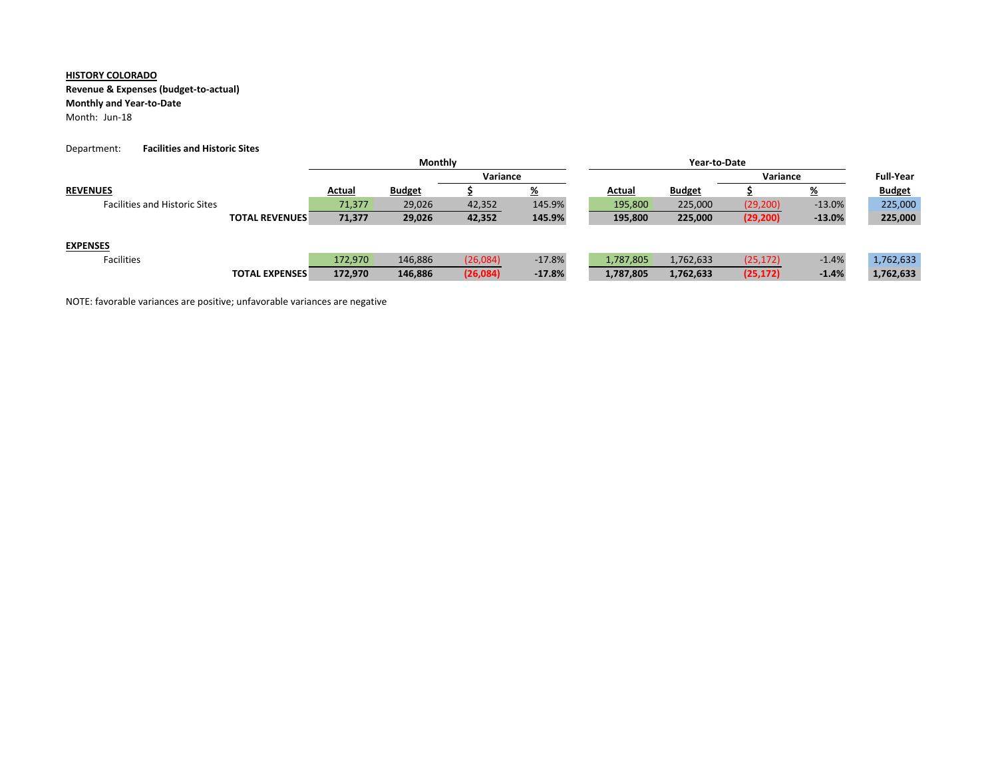# **Revenue & Expenses (budget‐to‐actual)**

## **Monthly and Year‐to‐Date**

Month: Jun‐18

### Department: **Facilities and Historic Sites**

|                                      |                       | Monthly  |               |          |          |           |               |           |                  |               |
|--------------------------------------|-----------------------|----------|---------------|----------|----------|-----------|---------------|-----------|------------------|---------------|
|                                      |                       | Variance |               |          |          | Variance  |               |           | <b>Full-Year</b> |               |
| <b>REVENUES</b>                      |                       | Actual   | <b>Budget</b> |          | <u>%</u> | Actual    | <b>Budget</b> |           | <u>%</u>         | <b>Budget</b> |
| <b>Facilities and Historic Sites</b> |                       | 71.377   | 29,026        | 42,352   | 145.9%   | 195,800   | 225,000       | (29, 200) | $-13.0%$         | 225,000       |
|                                      | <b>TOTAL REVENUES</b> | 71,377   | 29,026        | 42,352   | 145.9%   | 195,800   | 225,000       | (29, 200) | $-13.0%$         | 225,000       |
|                                      |                       |          |               |          |          |           |               |           |                  |               |
| <b>EXPENSES</b>                      |                       |          |               |          |          |           |               |           |                  |               |
| Facilities                           |                       | 172.970  | 146,886       | (26,084) | $-17.8%$ | 1,787,805 | 1,762,633     | (25, 172) | $-1.4%$          | 1,762,633     |
|                                      | <b>TOTAL EXPENSES</b> | 172,970  | 146,886       | (26,084) | $-17.8%$ | 1,787,805 | 1,762,633     | (25, 172) | $-1.4%$          | 1,762,633     |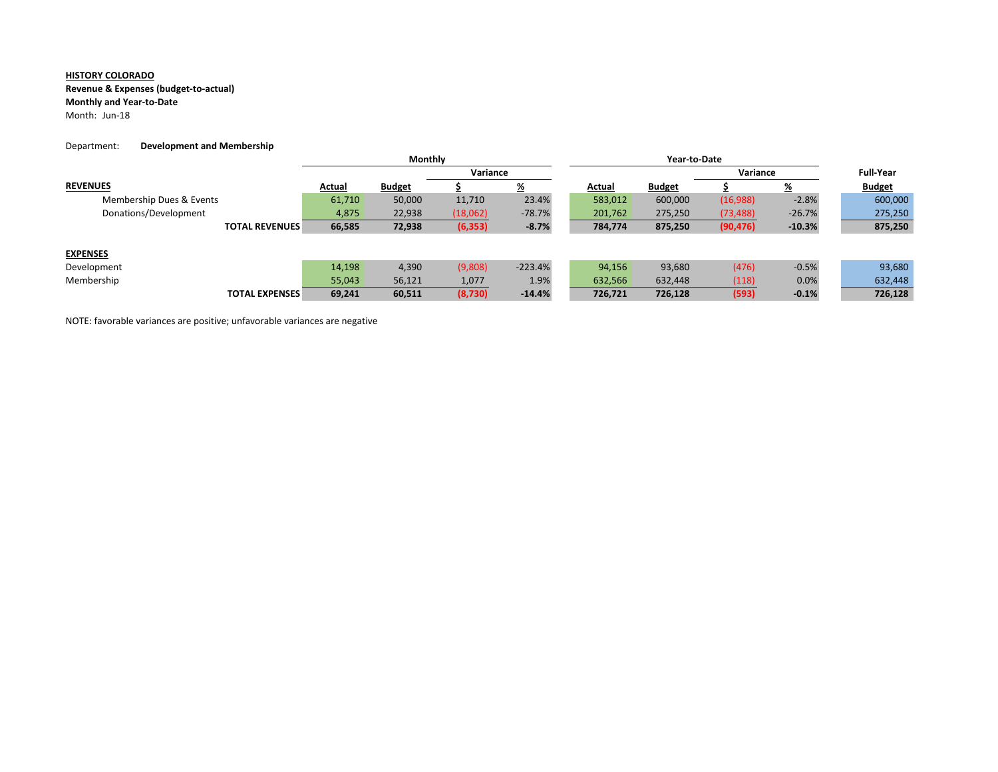### **Revenue & Expenses (budget‐to‐actual)**

#### **Monthly and Year‐to‐Date**

Month: Jun-18

#### Department: **Development and Membership**

|                          |        | Monthly       |          |           |         |               |           |                  |               |
|--------------------------|--------|---------------|----------|-----------|---------|---------------|-----------|------------------|---------------|
|                          |        | Variance      |          |           |         |               | Variance  | <b>Full-Year</b> |               |
| <b>REVENUES</b>          | Actual | <b>Budget</b> |          | <u>%</u>  | Actual  | <b>Budget</b> |           | <u>%</u>         | <b>Budget</b> |
| Membership Dues & Events | 61,710 | 50,000        | 11,710   | 23.4%     | 583,012 | 600,000       | (16,988)  | $-2.8%$          | 600,000       |
| Donations/Development    | 4,875  | 22,938        | (18,062) | $-78.7%$  | 201,762 | 275,250       | (73, 488) | $-26.7%$         | 275,250       |
| <b>TOTAL REVENUES</b>    | 66,585 | 72,938        | (6, 353) | $-8.7%$   | 784,774 | 875,250       | (90, 476) | $-10.3%$         | 875,250       |
|                          |        |               |          |           |         |               |           |                  |               |
| <b>EXPENSES</b>          |        |               |          |           |         |               |           |                  |               |
| Development              | 14,198 | 4,390         | (9,808)  | $-223.4%$ | 94,156  | 93,680        | (476)     | $-0.5%$          | 93,680        |
| Membership               | 55,043 | 56,121        | 1,077    | 1.9%      | 632,566 | 632,448       | (118)     | 0.0%             | 632,448       |
| <b>TOTAL EXPENSES</b>    | 69,241 | 60,511        | (8,730)  | $-14.4%$  | 726,721 | 726,128       | (593)     | $-0.1%$          | 726,128       |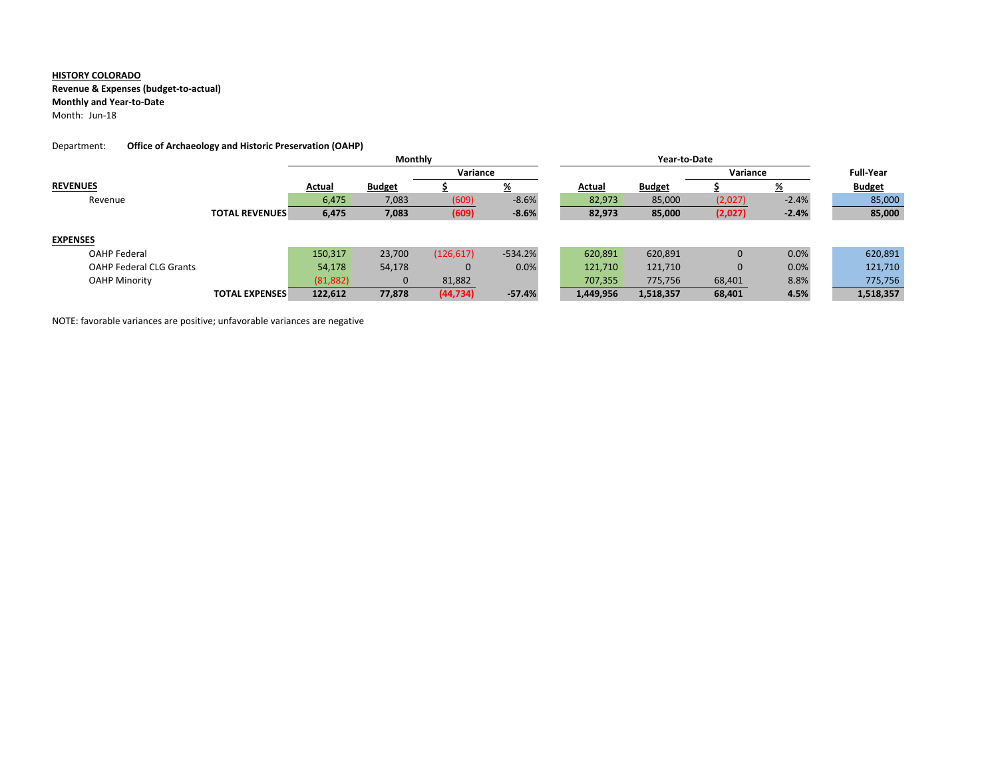**Revenue & Expenses (budget‐to‐actual)**

### **Monthly and Year‐to‐Date**

Month: Jun‐18

## Department: **Office of Archaeology and Historic Preservation (OAHP)**

|                                |                       | <b>Monthly</b> |               |            |           |           |               |              |                  |               |
|--------------------------------|-----------------------|----------------|---------------|------------|-----------|-----------|---------------|--------------|------------------|---------------|
|                                |                       | Variance       |               |            |           |           |               | Variance     | <b>Full-Year</b> |               |
| <b>REVENUES</b>                |                       | Actual         | <b>Budget</b> |            | <u>%</u>  | Actual    | <b>Budget</b> |              | <u>%</u>         | <b>Budget</b> |
| Revenue                        |                       | 6,475          | 7,083         | (609)      | $-8.6%$   | 82,973    | 85,000        | (2,027)      | $-2.4%$          | 85,000        |
|                                | <b>TOTAL REVENUES</b> | 6,475          | 7,083         | (609)      | $-8.6%$   | 82,973    | 85,000        | (2,027)      | $-2.4%$          | 85,000        |
|                                |                       |                |               |            |           |           |               |              |                  |               |
| <b>EXPENSES</b>                |                       |                |               |            |           |           |               |              |                  |               |
| <b>OAHP Federal</b>            |                       | 150,317        | 23,700        | (126, 617) | $-534.2%$ | 620,891   | 620,891       | $\mathbf{0}$ | 0.0%             | 620,891       |
| <b>OAHP Federal CLG Grants</b> |                       | 54,178         | 54,178        | 0          | 0.0%      | 121,710   | 121,710       | $\mathbf 0$  | 0.0%             | 121,710       |
| <b>OAHP Minority</b>           |                       | (81, 882)      | $\mathbf{0}$  | 81,882     |           | 707,355   | 775,756       | 68,401       | 8.8%             | 775,756       |
|                                | <b>TOTAL EXPENSES</b> | 122,612        | 77,878        | (44, 734)  | $-57.4%$  | 1,449,956 | 1,518,357     | 68,401       | 4.5%             | 1,518,357     |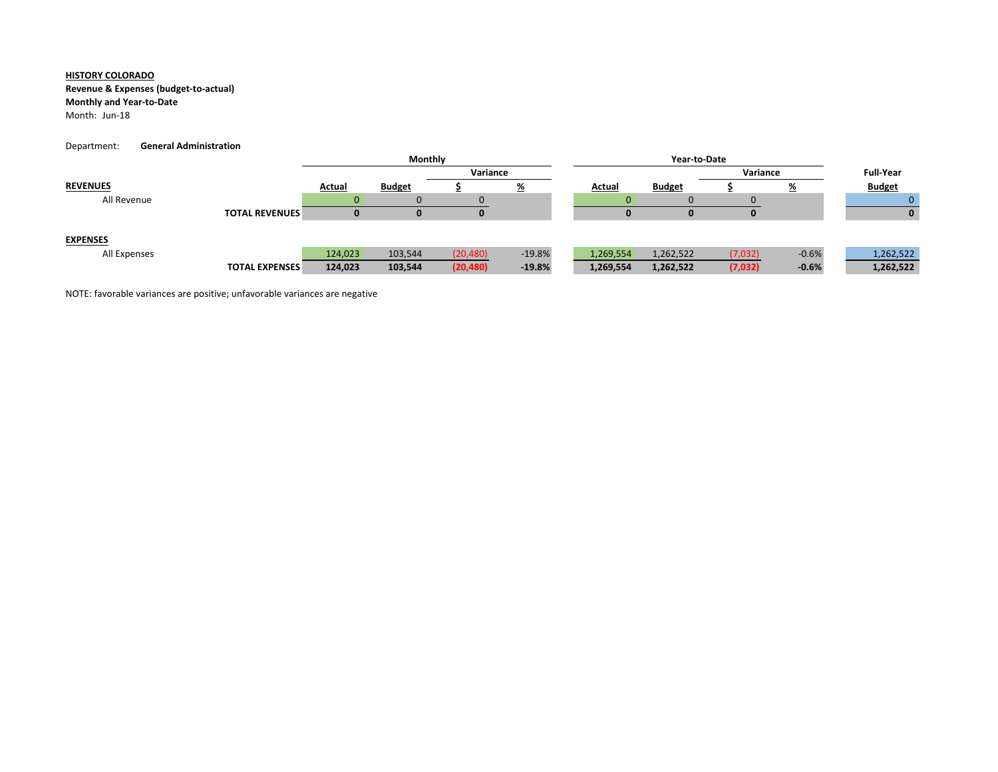### **Revenue & Expenses (budget‐to‐actual)**

### **Monthly and Year‐to‐Date**

Month: Jun‐18

#### Department: **General Administration**

|                 |                       |         | Monthly       |           |          |           | Year-to-Date  |         |           |               |  |
|-----------------|-----------------------|---------|---------------|-----------|----------|-----------|---------------|---------|-----------|---------------|--|
|                 |                       |         |               | Variance  |          |           |               |         | Variance  |               |  |
| <b>REVENUES</b> |                       | Actual  | <b>Budget</b> |           | <u>%</u> | Actual    | <b>Budget</b> |         | <u>⁄¤</u> | <b>Budget</b> |  |
| All Revenue     |                       |         |               |           |          |           |               |         |           |               |  |
|                 | <b>TOTAL REVENUES</b> | u       |               | υ         |          |           |               |         |           | 0             |  |
| <b>EXPENSES</b> |                       |         |               |           |          |           |               |         |           |               |  |
| All Expenses    |                       | 124,023 | 103,544       | (20, 480) | $-19.8%$ | 1,269,554 | 1,262,522     | (7,032) | $-0.6%$   | 1,262,522     |  |
|                 | <b>TOTAL EXPENSES</b> | 124,023 | 103,544       | (20, 480) | $-19.8%$ | 1,269,554 | 1,262,522     | (7,032) | $-0.6%$   | 1,262,522     |  |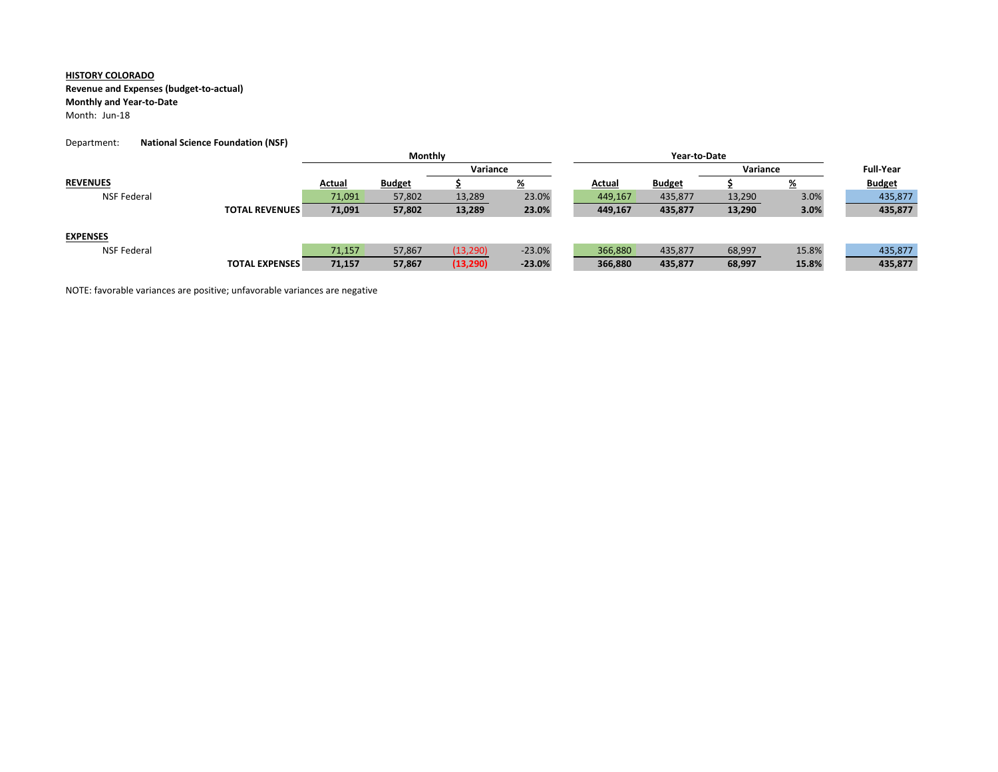### **Revenue and Expenses (budget‐to‐actual)**

## **Monthly and Year‐to‐Date**

Month: Jun‐18

#### Department: **National Science Foundation (NSF)**

|                    |                       | Monthly |               |           |          |  |               |               |          |                  |               |
|--------------------|-----------------------|---------|---------------|-----------|----------|--|---------------|---------------|----------|------------------|---------------|
|                    |                       |         | Variance      |           |          |  |               |               | Variance | <b>Full-Year</b> |               |
| <b>REVENUES</b>    |                       | Actual  | <b>Budget</b> |           | <u>%</u> |  | <b>Actual</b> | <b>Budget</b> |          | <u>%</u>         | <b>Budget</b> |
| NSF Federal        |                       | 71,091  | 57,802        | 13,289    | 23.0%    |  | 449,167       | 435,877       | 13,290   | 3.0%             | 435,877       |
|                    | <b>TOTAL REVENUES</b> | 71,091  | 57,802        | 13,289    | 23.0%    |  | 449,167       | 435,877       | 13,290   | 3.0%             | 435,877       |
|                    |                       |         |               |           |          |  |               |               |          |                  |               |
| <b>EXPENSES</b>    |                       |         |               |           |          |  |               |               |          |                  |               |
| <b>NSF Federal</b> |                       | 71,157  | 57,867        | (13, 290) | $-23.0%$ |  | 366,880       | 435,877       | 68,997   | 15.8%            | 435,877       |
|                    | <b>TOTAL EXPENSES</b> | 71,157  | 57,867        | (13, 290) | $-23.0%$ |  | 366,880       | 435,877       | 68,997   | 15.8%            | 435,877       |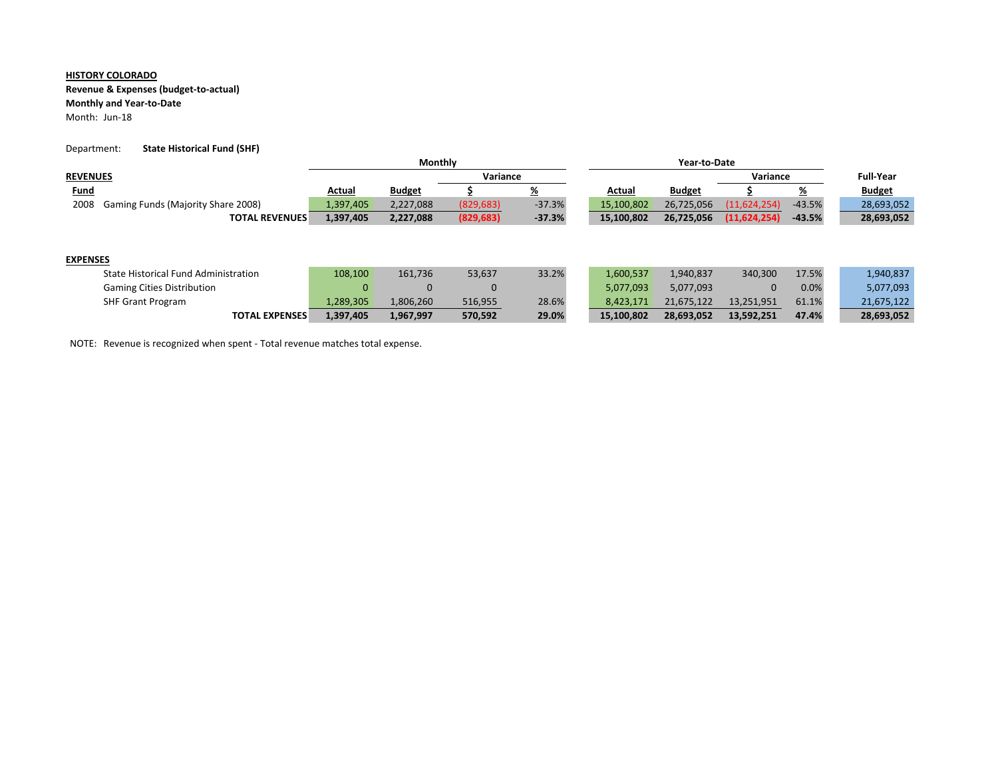# **Revenue & Expenses (budget‐to‐actual)**

# **Monthly and Year‐to‐Date**

Month: Jun‐18

### Department: **State Historical Fund (SHF)**

|                                            |           | Monthly       |            |          |        |            |               |                |                  |               |
|--------------------------------------------|-----------|---------------|------------|----------|--------|------------|---------------|----------------|------------------|---------------|
| <b>REVENUES</b>                            |           | Variance      |            |          |        |            |               | Variance       | <b>Full-Year</b> |               |
| <u>Fund</u>                                | Actual    | <b>Budget</b> |            | <u>%</u> | Actual |            | <b>Budget</b> |                | <u>%</u>         | <b>Budget</b> |
| 2008<br>Gaming Funds (Majority Share 2008) | 1,397,405 | 2,227,088     | (829, 683) | $-37.3%$ |        | 15,100,802 | 26,725,056    | (11,624,254)   | $-43.5%$         | 28,693,052    |
| <b>TOTAL REVENUES</b>                      | 1,397,405 | 2,227,088     | (829, 683) | $-37.3%$ |        | 15,100,802 | 26,725,056    | (11, 624, 254) | $-43.5%$         | 28,693,052    |
|                                            |           |               |            |          |        |            |               |                |                  |               |
|                                            |           |               |            |          |        |            |               |                |                  |               |
| <b>EXPENSES</b>                            |           |               |            |          |        |            |               |                |                  |               |
| State Historical Fund Administration       | 108,100   | 161,736       | 53,637     | 33.2%    |        | 1,600,537  | 1,940,837     | 340,300        | 17.5%            | 1,940,837     |
| <b>Gaming Cities Distribution</b>          | 0         | $\Omega$      | $\Omega$   |          |        | 5,077,093  | 5,077,093     | 0              | 0.0%             | 5,077,093     |
| <b>SHF Grant Program</b>                   | 1,289,305 | 1,806,260     | 516,955    | 28.6%    |        | 8,423,171  | 21,675,122    | 13,251,951     | 61.1%            | 21,675,122    |

**TOTAL EXPENSES 1,397,405 1,967,997 570,592 29.0% 15,100,802 28,693,052 13,592,251 47.4% 28,693,052**

NOTE: Revenue is recognized when spent ‐ Total revenue matches total expense.